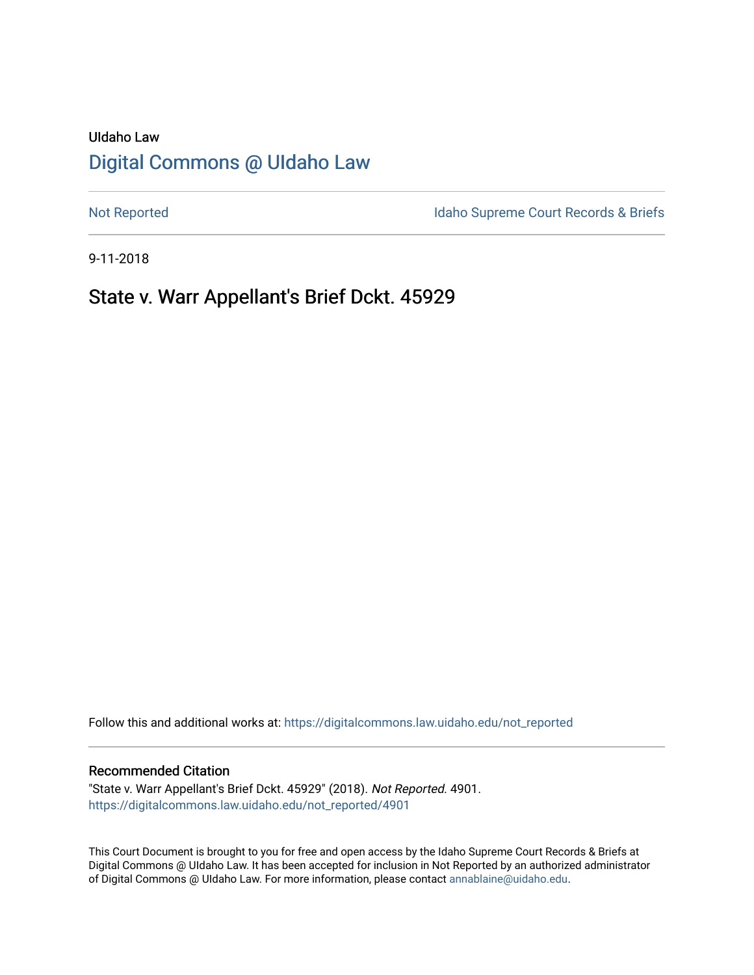# UIdaho Law [Digital Commons @ UIdaho Law](https://digitalcommons.law.uidaho.edu/)

[Not Reported](https://digitalcommons.law.uidaho.edu/not_reported) **Idaho Supreme Court Records & Briefs** 

9-11-2018

# State v. Warr Appellant's Brief Dckt. 45929

Follow this and additional works at: [https://digitalcommons.law.uidaho.edu/not\\_reported](https://digitalcommons.law.uidaho.edu/not_reported?utm_source=digitalcommons.law.uidaho.edu%2Fnot_reported%2F4901&utm_medium=PDF&utm_campaign=PDFCoverPages) 

#### Recommended Citation

"State v. Warr Appellant's Brief Dckt. 45929" (2018). Not Reported. 4901. [https://digitalcommons.law.uidaho.edu/not\\_reported/4901](https://digitalcommons.law.uidaho.edu/not_reported/4901?utm_source=digitalcommons.law.uidaho.edu%2Fnot_reported%2F4901&utm_medium=PDF&utm_campaign=PDFCoverPages)

This Court Document is brought to you for free and open access by the Idaho Supreme Court Records & Briefs at Digital Commons @ UIdaho Law. It has been accepted for inclusion in Not Reported by an authorized administrator of Digital Commons @ UIdaho Law. For more information, please contact [annablaine@uidaho.edu](mailto:annablaine@uidaho.edu).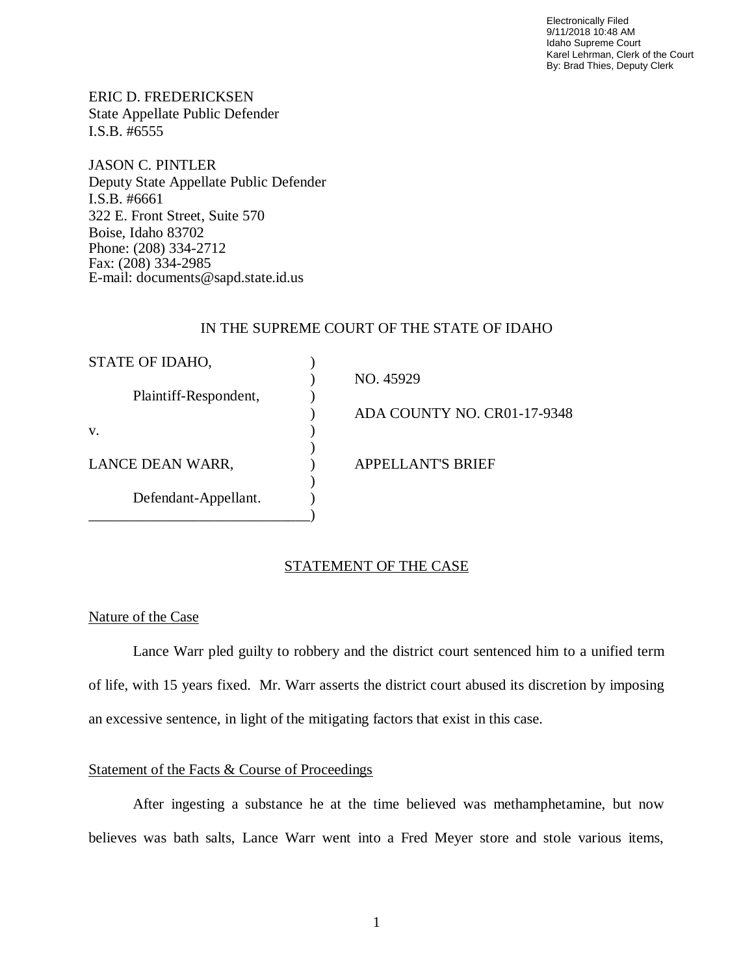Electronically Filed 9/11/2018 10:48 AM Idaho Supreme Court Karel Lehrman, Clerk of the Court By: Brad Thies, Deputy Clerk

ERIC D. FREDERICKSEN State Appellate Public Defender I.S.B. #6555

JASON C. PINTLER Deputy State Appellate Public Defender I.S.B. #6661 322 E. Front Street, Suite 570 Boise, Idaho 83702 Phone: (208) 334-2712 Fax: (208) 334-2985 E-mail: documents@sapd.state.id.us

### IN THE SUPREME COURT OF THE STATE OF IDAHO

| STATE OF IDAHO,       |                             |
|-----------------------|-----------------------------|
|                       | NO. 45929                   |
| Plaintiff-Respondent, |                             |
|                       | ADA COUNTY NO. CR01-17-9348 |
| V.                    |                             |
|                       |                             |
| LANCE DEAN WARR,      | <b>APPELLANT'S BRIEF</b>    |
|                       |                             |
| Defendant-Appellant.  |                             |
|                       |                             |

#### STATEMENT OF THE CASE

### Nature of the Case

Lance Warr pled guilty to robbery and the district court sentenced him to a unified term of life, with 15 years fixed. Mr. Warr asserts the district court abused its discretion by imposing an excessive sentence, in light of the mitigating factors that exist in this case.

## Statement of the Facts & Course of Proceedings

After ingesting a substance he at the time believed was methamphetamine, but now believes was bath salts, Lance Warr went into a Fred Meyer store and stole various items,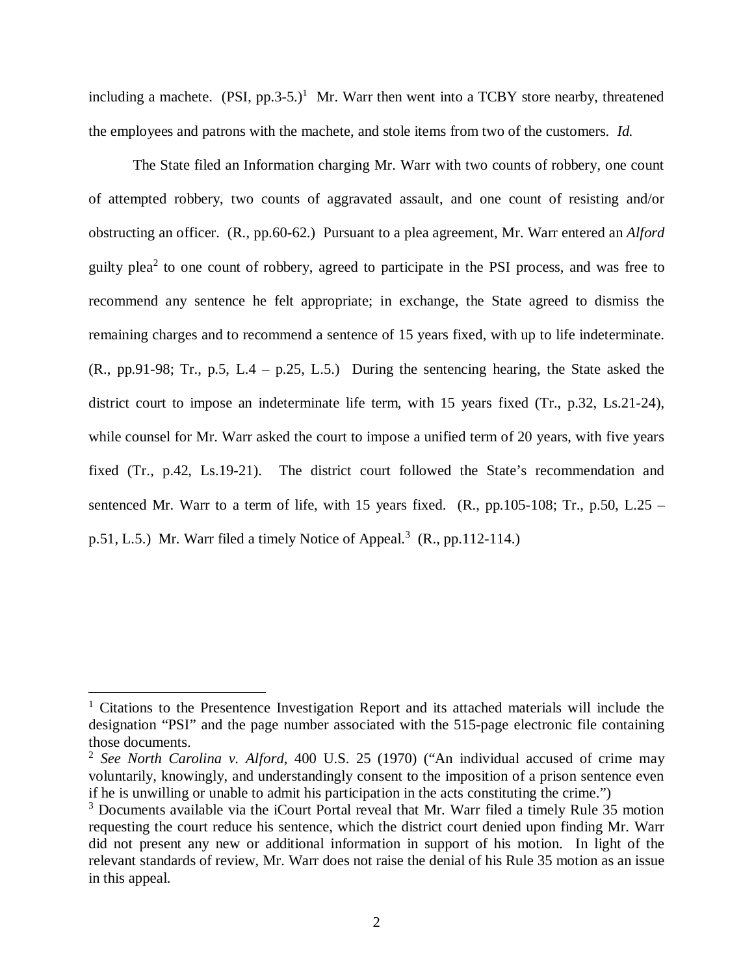including a machete.  $(PSI, pp.3-5.)^1$  $(PSI, pp.3-5.)^1$  Mr. Warr then went into a TCBY store nearby, threatened the employees and patrons with the machete, and stole items from two of the customers. *Id.*

The State filed an Information charging Mr. Warr with two counts of robbery, one count of attempted robbery, two counts of aggravated assault, and one count of resisting and/or obstructing an officer. (R., pp.60-62.) Pursuant to a plea agreement, Mr. Warr entered an *Alford* guilty plea<sup>[2](#page-2-1)</sup> to one count of robbery, agreed to participate in the PSI process, and was free to recommend any sentence he felt appropriate; in exchange, the State agreed to dismiss the remaining charges and to recommend a sentence of 15 years fixed, with up to life indeterminate. (R., pp.91-98; Tr., p.5, L.4 – p.25, L.5.) During the sentencing hearing, the State asked the district court to impose an indeterminate life term, with 15 years fixed (Tr., p.32, Ls.21-24), while counsel for Mr. Warr asked the court to impose a unified term of 20 years, with five years fixed (Tr., p.42, Ls.19-21). The district court followed the State's recommendation and sentenced Mr. Warr to a term of life, with 15 years fixed.  $(R., pp.105-108; Tr., p.50, L.25 –$ p.51, L.5.) Mr. Warr filed a timely Notice of Appeal.<sup>[3](#page-2-2)</sup> (R., pp.112-114.)

<span id="page-2-0"></span><sup>&</sup>lt;sup>1</sup> Citations to the Presentence Investigation Report and its attached materials will include the designation "PSI" and the page number associated with the 515-page electronic file containing those documents.

<span id="page-2-1"></span><sup>2</sup> *See North Carolina v. Alford*, 400 U.S. 25 (1970) ("An individual accused of crime may voluntarily, knowingly, and understandingly consent to the imposition of a prison sentence even if he is unwilling or unable to admit his participation in the acts constituting the crime.")

<span id="page-2-2"></span><sup>&</sup>lt;sup>3</sup> Documents available via the iCourt Portal reveal that Mr. Warr filed a timely Rule 35 motion requesting the court reduce his sentence, which the district court denied upon finding Mr. Warr did not present any new or additional information in support of his motion. In light of the relevant standards of review, Mr. Warr does not raise the denial of his Rule 35 motion as an issue in this appeal.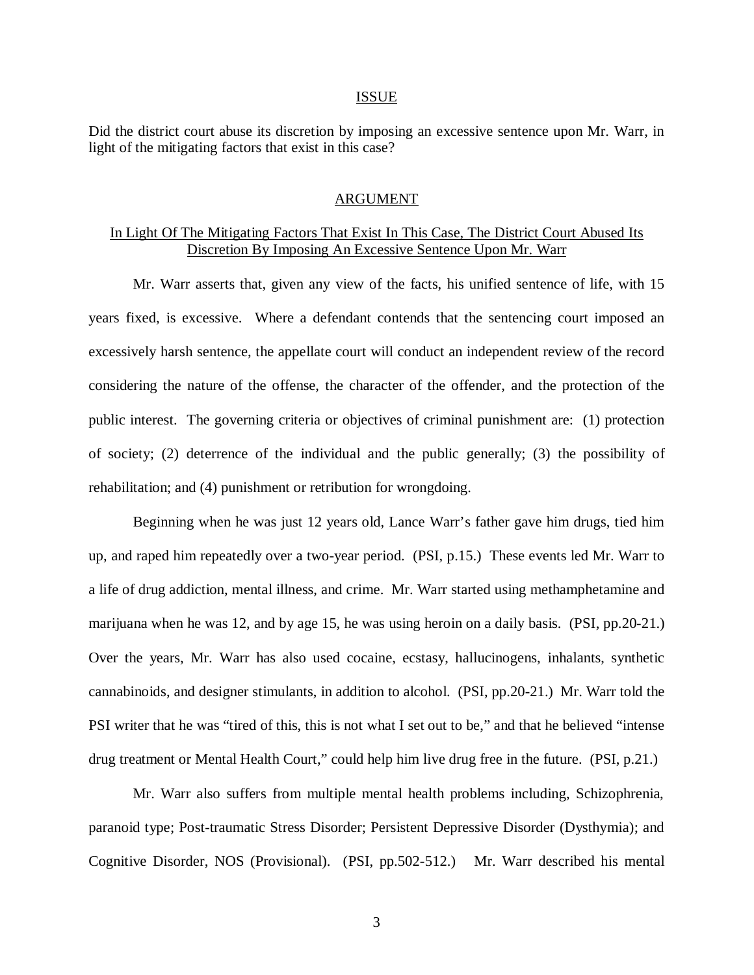#### ISSUE

Did the district court abuse its discretion by imposing an excessive sentence upon Mr. Warr, in light of the mitigating factors that exist in this case?

#### ARGUMENT

### In Light Of The Mitigating Factors That Exist In This Case, The District Court Abused Its Discretion By Imposing An Excessive Sentence Upon Mr. Warr

Mr. Warr asserts that, given any view of the facts, his unified sentence of life, with 15 years fixed, is excessive. Where a defendant contends that the sentencing court imposed an excessively harsh sentence, the appellate court will conduct an independent review of the record considering the nature of the offense, the character of the offender, and the protection of the public interest. The governing criteria or objectives of criminal punishment are: (1) protection of society; (2) deterrence of the individual and the public generally; (3) the possibility of rehabilitation; and (4) punishment or retribution for wrongdoing.

Beginning when he was just 12 years old, Lance Warr's father gave him drugs, tied him up, and raped him repeatedly over a two-year period. (PSI, p.15.) These events led Mr. Warr to a life of drug addiction, mental illness, and crime. Mr. Warr started using methamphetamine and marijuana when he was 12, and by age 15, he was using heroin on a daily basis. (PSI, pp.20-21.) Over the years, Mr. Warr has also used cocaine, ecstasy, hallucinogens, inhalants, synthetic cannabinoids, and designer stimulants, in addition to alcohol. (PSI, pp.20-21.) Mr. Warr told the PSI writer that he was "tired of this, this is not what I set out to be," and that he believed "intense drug treatment or Mental Health Court," could help him live drug free in the future. (PSI, p.21.)

Mr. Warr also suffers from multiple mental health problems including, Schizophrenia, paranoid type; Post-traumatic Stress Disorder; Persistent Depressive Disorder (Dysthymia); and Cognitive Disorder, NOS (Provisional). (PSI, pp.502-512.) Mr. Warr described his mental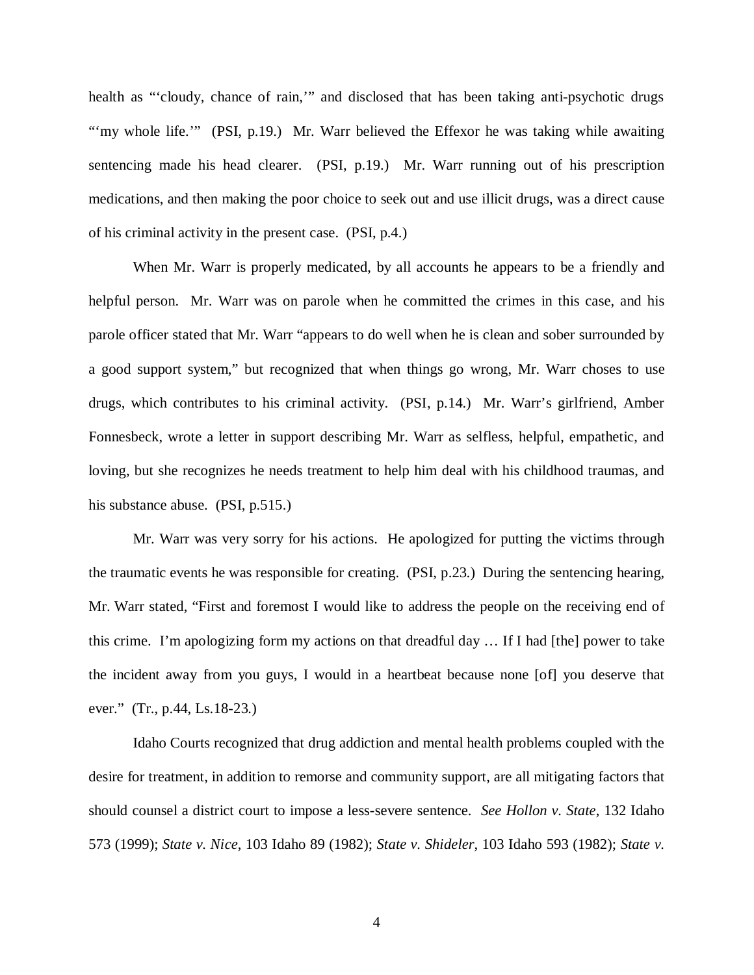health as "'cloudy, chance of rain,'" and disclosed that has been taking anti-psychotic drugs "'my whole life."" (PSI, p.19.) Mr. Warr believed the Effexor he was taking while awaiting sentencing made his head clearer. (PSI, p.19.) Mr. Warr running out of his prescription medications, and then making the poor choice to seek out and use illicit drugs, was a direct cause of his criminal activity in the present case. (PSI, p.4.)

When Mr. Warr is properly medicated, by all accounts he appears to be a friendly and helpful person. Mr. Warr was on parole when he committed the crimes in this case, and his parole officer stated that Mr. Warr "appears to do well when he is clean and sober surrounded by a good support system," but recognized that when things go wrong, Mr. Warr choses to use drugs, which contributes to his criminal activity. (PSI, p.14.) Mr. Warr's girlfriend, Amber Fonnesbeck, wrote a letter in support describing Mr. Warr as selfless, helpful, empathetic, and loving, but she recognizes he needs treatment to help him deal with his childhood traumas, and his substance abuse. (PSI, p.515.)

Mr. Warr was very sorry for his actions. He apologized for putting the victims through the traumatic events he was responsible for creating. (PSI, p.23.) During the sentencing hearing, Mr. Warr stated, "First and foremost I would like to address the people on the receiving end of this crime. I'm apologizing form my actions on that dreadful day … If I had [the] power to take the incident away from you guys, I would in a heartbeat because none [of] you deserve that ever." (Tr., p.44, Ls.18-23.)

Idaho Courts recognized that drug addiction and mental health problems coupled with the desire for treatment, in addition to remorse and community support, are all mitigating factors that should counsel a district court to impose a less-severe sentence. *See Hollon v. State*, 132 Idaho 573 (1999); *State v. Nice*, 103 Idaho 89 (1982); *State v. Shideler*, 103 Idaho 593 (1982); *State v.*